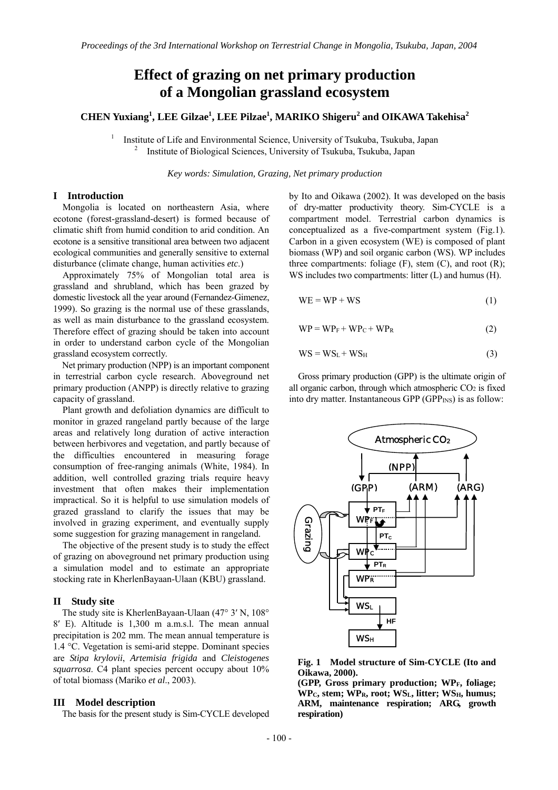# **Effect of grazing on net primary production of a Mongolian grassland ecosystem**

# **CHEN Yuxiang<sup>1</sup> , LEE Gilzae1 , LEE Pilzae1 , MARIKO Shigeru<sup>2</sup> and OIKAWA Takehisa<sup>2</sup>**

1 Institute of Life and Environmental Science, University of Tsukuba, Tsukuba, Japan 2 Institute of Biological Sciences, University of Tsukuba, Tsukuba, Japan

*Key words: Simulation, Grazing, Net primary production* 

# **I Introduction**

Mongolia is located on northeastern Asia, where ecotone (forest-grassland-desert) is formed because of climatic shift from humid condition to arid condition. An ecotone is a sensitive transitional area between two adjacent ecological communities and generally sensitive to external disturbance (climate change, human activities *etc*.)

Approximately 75% of Mongolian total area is grassland and shrubland, which has been grazed by domestic livestock all the year around (Fernandez-Gimenez, 1999). So grazing is the normal use of these grasslands, as well as main disturbance to the grassland ecosystem. Therefore effect of grazing should be taken into account in order to understand carbon cycle of the Mongolian grassland ecosystem correctly.

Net primary production (NPP) is an important component in terrestrial carbon cycle research. Aboveground net primary production (ANPP) is directly relative to grazing capacity of grassland.

Plant growth and defoliation dynamics are difficult to monitor in grazed rangeland partly because of the large areas and relatively long duration of active interaction between herbivores and vegetation, and partly because of the difficulties encountered in measuring forage consumption of free-ranging animals (White, 1984). In addition, well controlled grazing trials require heavy investment that often makes their implementation impractical. So it is helpful to use simulation models of grazed grassland to clarify the issues that may be involved in grazing experiment, and eventually supply some suggestion for grazing management in rangeland.

The objective of the present study is to study the effect of grazing on aboveground net primary production using a simulation model and to estimate an appropriate stocking rate in KherlenBayaan-Ulaan (KBU) grassland.

# **II Study site**

The study site is KherlenBayaan-Ulaan (47° 3′ N, 108° 8′ E). Altitude is 1,300 m a.m.s.l. The mean annual precipitation is 202 mm. The mean annual temperature is 1.4 °C. Vegetation is semi-arid steppe. Dominant species are *Stipa krylovii*, *Artemisia frigida* and *Cleistogenes squarrosa*. C4 plant species percent occupy about 10% of total biomass (Mariko *et al*., 2003).

## **III Model description**

The basis for the present study is Sim-CYCLE developed

by Ito and Oikawa (2002). It was developed on the basis of dry-matter productivity theory. Sim-CYCLE is a compartment model. Terrestrial carbon dynamics is conceptualized as a five-compartment system (Fig.1). Carbon in a given ecosystem (WE) is composed of plant biomass (WP) and soil organic carbon (WS). WP includes three compartments: foliage  $(F)$ , stem  $(C)$ , and root  $(R)$ ; WS includes two compartments: litter (L) and humus (H).

$$
WE = WP + WS \tag{1}
$$

$$
WP = WP_F + WP_C + WP_R
$$
 (2)

$$
WS = WS_L + WS_H
$$
 (3)

Gross primary production (GPP) is the ultimate origin of all organic carbon, through which atmospheric CO<sub>2</sub> is fixed into dry matter. Instantaneous GPP (GPP<sub>INS</sub>) is as follow:



**Fig. 1 Model structure of Sim-CYCLE (Ito and Oikawa, 2000).** 

**(GPP, Gross primary production; WPF, foliage; WPC, stem; WPR, root; WSL, litter; WSH, humus; ARM, maintenance respiration; ARG, growth respiration)**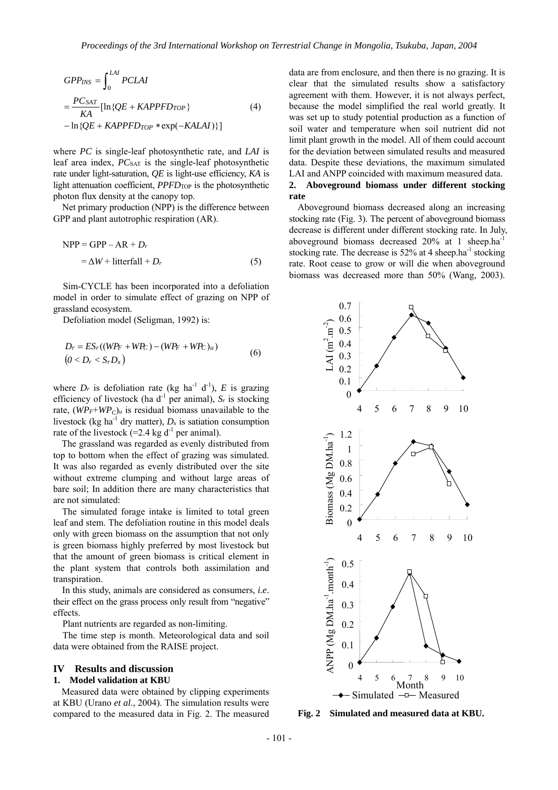$$
GPP_{INS} = \int_{0}^{LAI} PCLAI
$$
  
= 
$$
\frac{PC_{SAT}}{KA} [\ln\{QE + KAPPFD_{TOP}\}\]
$$
 (4)  
- 
$$
\ln\{QE + KAPPFD_{TOP} * \exp(-KALAI)\}\]
$$

where *PC* is single-leaf photosynthetic rate, and *LAI* is leaf area index, *PC*SAT is the single-leaf photosynthetic rate under light-saturation, *QE* is light-use efficiency, *KA* is light attenuation coefficient, *PPFD*TOP is the photosynthetic photon flux density at the canopy top.

Net primary production (NPP) is the difference between GPP and plant autotrophic respiration (AR).

$$
NPP = GPP - AR + Dr
$$
  
=  $\Delta W$  + litterfall + D<sub>r</sub> (5)

Sim-CYCLE has been incorporated into a defoliation model in order to simulate effect of grazing on NPP of grassland ecosystem.

Defoliation model (Seligman, 1992) is:

$$
D_r = ES_r((WP_F + WP_C) - (WP_F + WP_C)_u)
$$
  
(6)  

$$
(0 < D_r < S_r D_x)
$$

where  $D_r$  is defoliation rate (kg ha<sup>-1</sup> d<sup>-1</sup>),  $E$  is grazing efficiency of livestock (ha  $d^{-1}$  per animal),  $S_r$  is stocking rate,  $(WPr+WP<sub>C</sub>)<sub>u</sub>$  is residual biomass unavailable to the livestock (kg ha<sup>-1</sup> dry matter),  $D_x$  is satiation consumption rate of the livestock  $(=2.4 \text{ kg d}^{-1})$  per animal).

The grassland was regarded as evenly distributed from top to bottom when the effect of grazing was simulated. It was also regarded as evenly distributed over the site without extreme clumping and without large areas of bare soil; In addition there are many characteristics that are not simulated:

The simulated forage intake is limited to total green leaf and stem. The defoliation routine in this model deals only with green biomass on the assumption that not only is green biomass highly preferred by most livestock but that the amount of green biomass is critical element in the plant system that controls both assimilation and transpiration.

In this study, animals are considered as consumers, *i.e*. their effect on the grass process only result from "negative" effects.

Plant nutrients are regarded as non-limiting.

The time step is month. Meteorological data and soil data were obtained from the RAISE project.

# **IV Results and discussion**

#### **1. Model validation at KBU**

Measured data were obtained by clipping experiments at KBU (Urano *et al*., 2004). The simulation results were compared to the measured data in Fig. 2. The measured data are from enclosure, and then there is no grazing. It is clear that the simulated results show a satisfactory agreement with them. However, it is not always perfect, because the model simplified the real world greatly. It was set up to study potential production as a function of soil water and temperature when soil nutrient did not limit plant growth in the model. All of them could account for the deviation between simulated results and measured data. Despite these deviations, the maximum simulated LAI and ANPP coincided with maximum measured data.

### **2. Aboveground biomass under different stocking rate**

Aboveground biomass decreased along an increasing stocking rate (Fig. 3). The percent of aboveground biomass decrease is different under different stocking rate. In July, aboveground biomass decreased 20% at 1 sheep.ha-1 stocking rate. The decrease is  $52\%$  at 4 sheep.ha<sup>-1</sup> stocking rate. Root cease to grow or will die when aboveground biomass was decreased more than 50% (Wang, 2003).



**Fig. 2 Simulated and measured data at KBU.**